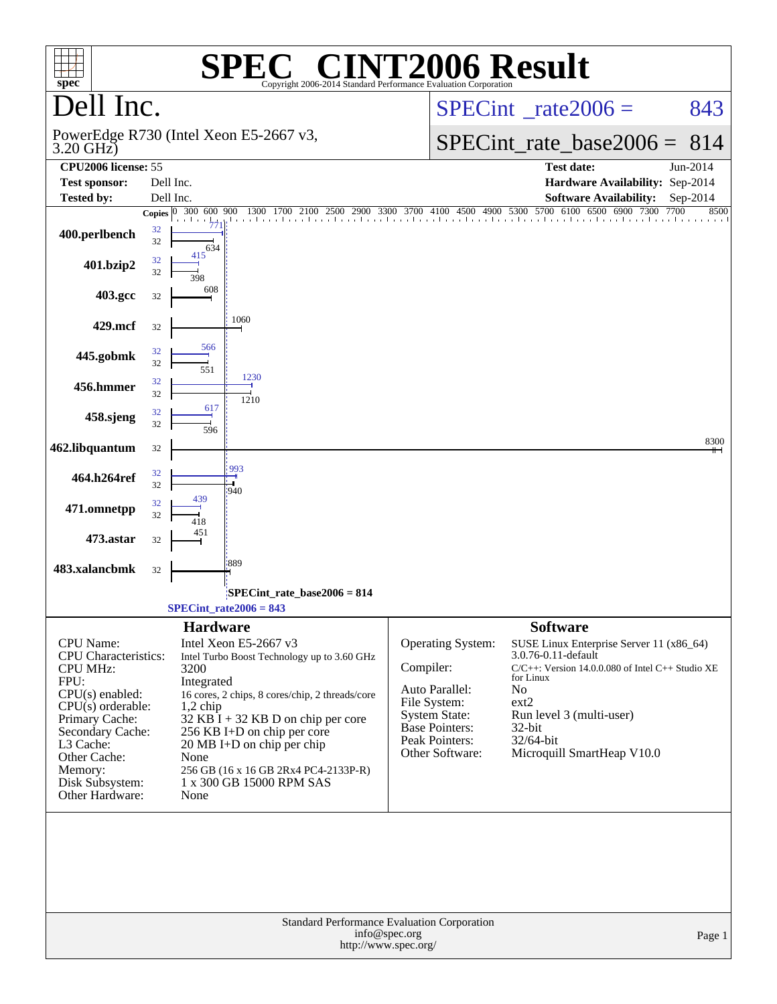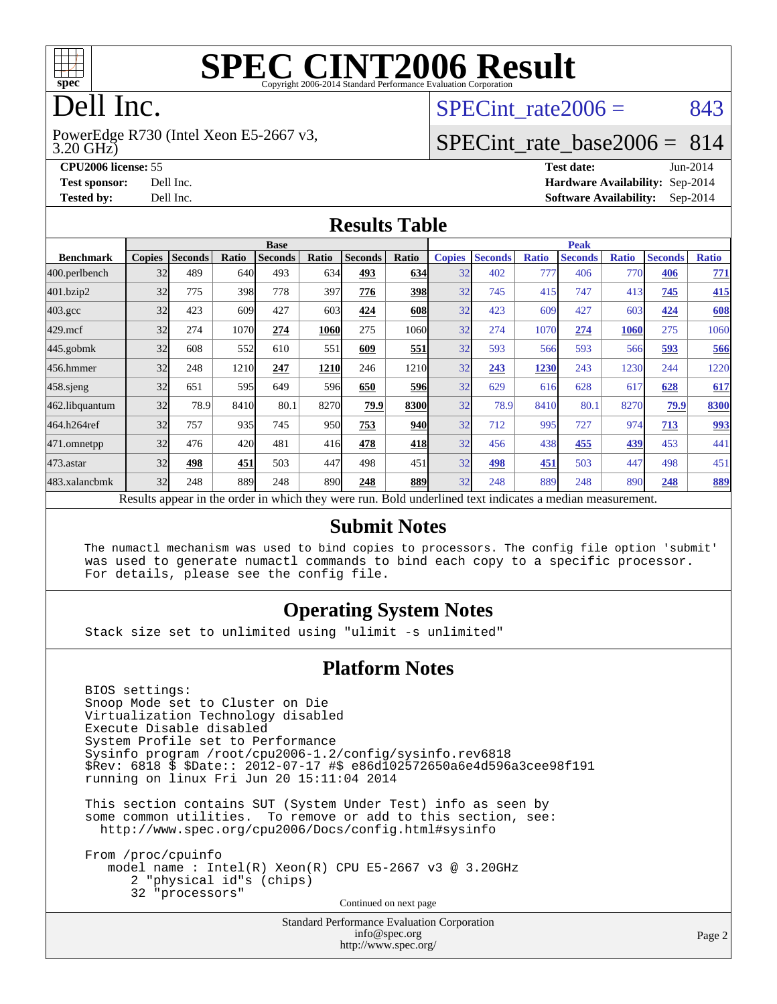

# **[SPEC CINT2006 Result](http://www.spec.org/auto/cpu2006/Docs/result-fields.html#SPECCINT2006Result)**

# Dell Inc.

3.20 GHz) PowerEdge R730 (Intel Xeon E5-2667 v3, SPECint rate $2006 = 843$ 

## [SPECint\\_rate\\_base2006 =](http://www.spec.org/auto/cpu2006/Docs/result-fields.html#SPECintratebase2006) 814

**[CPU2006 license:](http://www.spec.org/auto/cpu2006/Docs/result-fields.html#CPU2006license)** 55 **[Test date:](http://www.spec.org/auto/cpu2006/Docs/result-fields.html#Testdate)** Jun-2014 **[Test sponsor:](http://www.spec.org/auto/cpu2006/Docs/result-fields.html#Testsponsor)** Dell Inc. **[Hardware Availability:](http://www.spec.org/auto/cpu2006/Docs/result-fields.html#HardwareAvailability)** Sep-2014 **[Tested by:](http://www.spec.org/auto/cpu2006/Docs/result-fields.html#Testedby)** Dell Inc. **[Software Availability:](http://www.spec.org/auto/cpu2006/Docs/result-fields.html#SoftwareAvailability)** Sep-2014

#### **[Results Table](http://www.spec.org/auto/cpu2006/Docs/result-fields.html#ResultsTable)**

|                    | <b>Base</b>   |                |       |                                                                                                          |                  |                |            | <b>Peak</b>   |                |              |                |              |                |              |
|--------------------|---------------|----------------|-------|----------------------------------------------------------------------------------------------------------|------------------|----------------|------------|---------------|----------------|--------------|----------------|--------------|----------------|--------------|
| <b>Benchmark</b>   | <b>Copies</b> | <b>Seconds</b> | Ratio | <b>Seconds</b>                                                                                           | Ratio            | <b>Seconds</b> | Ratio      | <b>Copies</b> | <b>Seconds</b> | <b>Ratio</b> | <b>Seconds</b> | <b>Ratio</b> | <b>Seconds</b> | <b>Ratio</b> |
| 400.perlbench      | 32            | 489            | 640   | 493                                                                                                      | 634              | 493            | 634        | 32            | 402            | 777          | 406            | 770          | 406            | 771          |
| 401.bzip2          | 32            | 775            | 398   | 778                                                                                                      | 397              | 776            | 398        | 32            | 745            | 415          | 747            | 413          | 745            | 415          |
| $403.\mathrm{gcc}$ | 32            | 423            | 609   | 427                                                                                                      | 603              | 424            | 608        | 32            | 423            | 609          | 427            | 603          | 424            | 608          |
| $429$ .mcf         | 32            | 274            | 1070  | 274                                                                                                      | <b>1060</b>      | 275            | 1060       | 32            | 274            | 1070         | 274            | 1060         | 275            | 1060         |
| $445$ .gobmk       | 32            | 608            | 552   | 610                                                                                                      | 551              | 609            | 551        | 32            | 593            | 566          | 593            | 566          | 593            | 566          |
| 456.hmmer          | 32            | 248            | 1210  | 247                                                                                                      | 1210             | 246            | 1210       | 32            | 243            | 1230         | 243            | 1230         | 244            | 1220         |
| $458$ .sjeng       | 32            | 651            | 595   | 649                                                                                                      | 596 <sub>l</sub> | 650            | <b>596</b> | 32            | 629            | 616          | 628            | 617          | 628            | 617          |
| 462.libquantum     | 32            | 78.9           | 8410  | 80.1                                                                                                     | 8270             | 79.9           | 8300       | 32            | 78.9           | 8410         | 80.1           | 8270         | 79.9           | 8300         |
| 464.h264ref        | 32            | 757            | 935   | 745                                                                                                      | 950              | 753            | 940        | 32            | 712            | 995          | 727            | 974          | 713            | <u>993</u>   |
| 471.omnetpp        | 32            | 476            | 420   | 481                                                                                                      | 416              | 478            | 418        | 32            | 456            | 438          | 455            | 439          | 453            | 441          |
| 473.astar          | 32            | 498            | 451   | 503                                                                                                      | 447              | 498            | 451        | 32            | 498            | 451          | 503            | 447          | 498            | 451          |
| 483.xalancbmk      | 32            | 248            | 889   | 248                                                                                                      | 890              | 248            | 889        | 32            | 248            | 889          | 248            | 890          | 248            | 889          |
|                    |               |                |       | Results appear in the order in which they were run. Bold underlined text indicates a median measurement. |                  |                |            |               |                |              |                |              |                |              |

#### **[Submit Notes](http://www.spec.org/auto/cpu2006/Docs/result-fields.html#SubmitNotes)**

 The numactl mechanism was used to bind copies to processors. The config file option 'submit' was used to generate numactl commands to bind each copy to a specific processor. For details, please see the config file.

## **[Operating System Notes](http://www.spec.org/auto/cpu2006/Docs/result-fields.html#OperatingSystemNotes)**

Stack size set to unlimited using "ulimit -s unlimited"

#### **[Platform Notes](http://www.spec.org/auto/cpu2006/Docs/result-fields.html#PlatformNotes)**

 BIOS settings: Snoop Mode set to Cluster on Die Virtualization Technology disabled Execute Disable disabled System Profile set to Performance Sysinfo program /root/cpu2006-1.2/config/sysinfo.rev6818 \$Rev: 6818 \$ \$Date:: 2012-07-17 #\$ e86d102572650a6e4d596a3cee98f191 running on linux Fri Jun 20 15:11:04 2014

 This section contains SUT (System Under Test) info as seen by some common utilities. To remove or add to this section, see: <http://www.spec.org/cpu2006/Docs/config.html#sysinfo>

 From /proc/cpuinfo model name : Intel(R) Xeon(R) CPU E5-2667 v3 @ 3.20GHz 2 "physical id"s (chips) 32 "processors" Continued on next page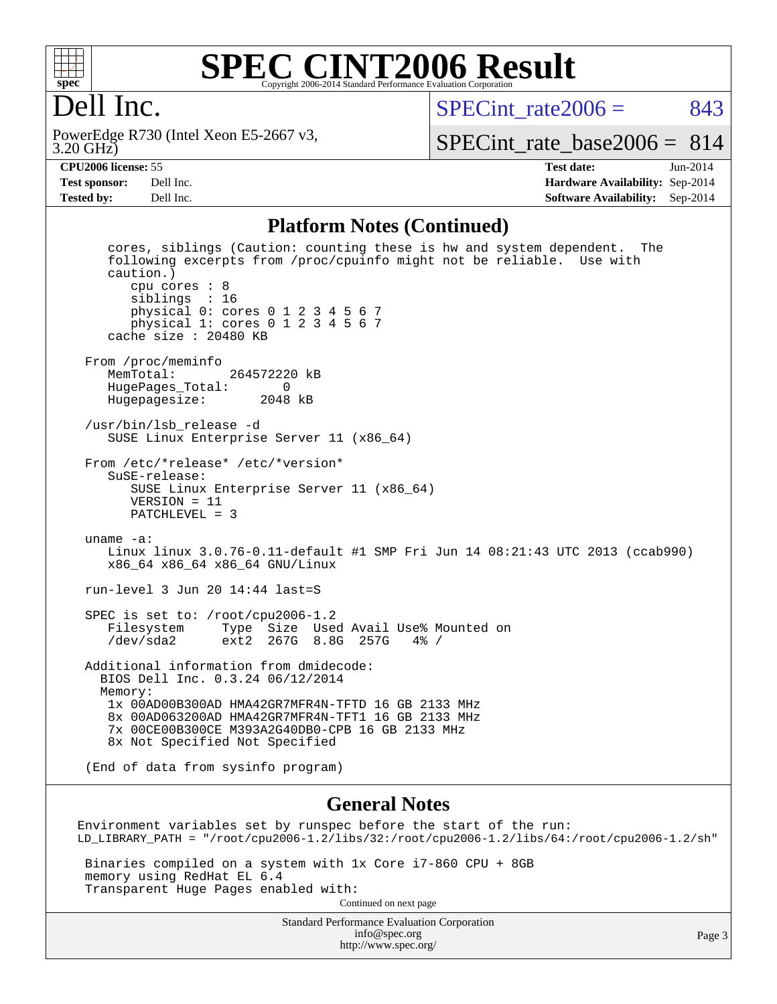

### **[SPEC CINT2006 Result](http://www.spec.org/auto/cpu2006/Docs/result-fields.html#SPECCINT2006Result)** Copyright 2006-2014 Standard Performance Evaluation Corporation

## Dell Inc.

3.20 GHz) PowerEdge R730 (Intel Xeon E5-2667 v3,  $SPECint rate2006 = 843$ 

[SPECint\\_rate\\_base2006 =](http://www.spec.org/auto/cpu2006/Docs/result-fields.html#SPECintratebase2006) 814

**[CPU2006 license:](http://www.spec.org/auto/cpu2006/Docs/result-fields.html#CPU2006license)** 55 **[Test date:](http://www.spec.org/auto/cpu2006/Docs/result-fields.html#Testdate)** Jun-2014 **[Test sponsor:](http://www.spec.org/auto/cpu2006/Docs/result-fields.html#Testsponsor)** Dell Inc. **[Hardware Availability:](http://www.spec.org/auto/cpu2006/Docs/result-fields.html#HardwareAvailability)** Sep-2014 **[Tested by:](http://www.spec.org/auto/cpu2006/Docs/result-fields.html#Testedby)** Dell Inc. **[Software Availability:](http://www.spec.org/auto/cpu2006/Docs/result-fields.html#SoftwareAvailability)** Sep-2014

#### **[Platform Notes \(Continued\)](http://www.spec.org/auto/cpu2006/Docs/result-fields.html#PlatformNotes)**

 cores, siblings (Caution: counting these is hw and system dependent. The following excerpts from /proc/cpuinfo might not be reliable. Use with caution.) cpu cores : 8 siblings : 16 physical 0: cores 0 1 2 3 4 5 6 7 physical 1: cores 0 1 2 3 4 5 6 7 cache size : 20480 KB From /proc/meminfo<br>MemTotal: 264572220 kB HugePages\_Total: 0 Hugepagesize: 2048 kB /usr/bin/lsb\_release -d SUSE Linux Enterprise Server 11 (x86\_64) From /etc/\*release\* /etc/\*version\* SuSE-release: SUSE Linux Enterprise Server 11 (x86\_64) VERSION = 11 PATCHLEVEL = 3 uname -a: Linux linux 3.0.76-0.11-default #1 SMP Fri Jun 14 08:21:43 UTC 2013 (ccab990) x86\_64 x86\_64 x86\_64 GNU/Linux run-level 3 Jun 20 14:44 last=S SPEC is set to: /root/cpu2006-1.2 Filesystem Type Size Used Avail Use% Mounted on /dev/sda2 ext2 267G 8.8G 257G 4% / Additional information from dmidecode: BIOS Dell Inc. 0.3.24 06/12/2014 Memory: 1x 00AD00B300AD HMA42GR7MFR4N-TFTD 16 GB 2133 MHz 8x 00AD063200AD HMA42GR7MFR4N-TFT1 16 GB 2133 MHz 7x 00CE00B300CE M393A2G40DB0-CPB 16 GB 2133 MHz 8x Not Specified Not Specified (End of data from sysinfo program)

#### **[General Notes](http://www.spec.org/auto/cpu2006/Docs/result-fields.html#GeneralNotes)**

Environment variables set by runspec before the start of the run: LD\_LIBRARY\_PATH = "/root/cpu2006-1.2/libs/32:/root/cpu2006-1.2/libs/64:/root/cpu2006-1.2/sh"

 Binaries compiled on a system with 1x Core i7-860 CPU + 8GB memory using RedHat EL 6.4 Transparent Huge Pages enabled with: Continued on next page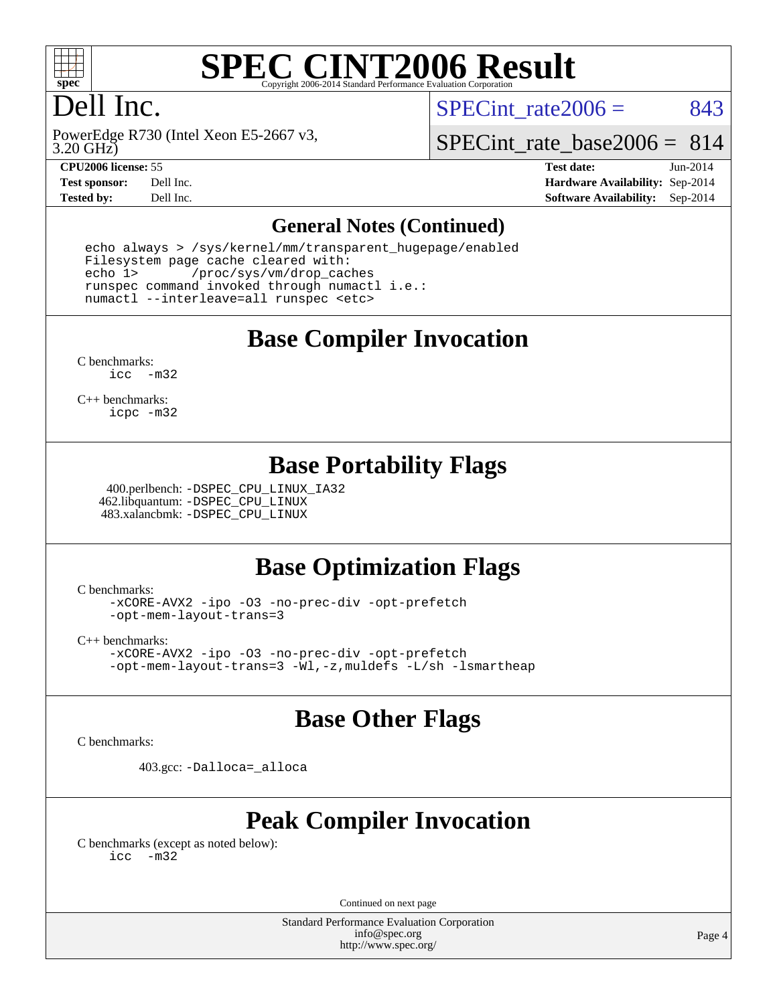

# **[SPEC CINT2006 Result](http://www.spec.org/auto/cpu2006/Docs/result-fields.html#SPECCINT2006Result)**

# Dell Inc.

SPECint rate $2006 = 843$ 

3.20 GHz) PowerEdge R730 (Intel Xeon E5-2667 v3,

SPECint rate base  $2006 = 814$ 

**[CPU2006 license:](http://www.spec.org/auto/cpu2006/Docs/result-fields.html#CPU2006license)** 55 **[Test date:](http://www.spec.org/auto/cpu2006/Docs/result-fields.html#Testdate)** Jun-2014 **[Test sponsor:](http://www.spec.org/auto/cpu2006/Docs/result-fields.html#Testsponsor)** Dell Inc. **[Hardware Availability:](http://www.spec.org/auto/cpu2006/Docs/result-fields.html#HardwareAvailability)** Sep-2014 **[Tested by:](http://www.spec.org/auto/cpu2006/Docs/result-fields.html#Testedby)** Dell Inc. **[Software Availability:](http://www.spec.org/auto/cpu2006/Docs/result-fields.html#SoftwareAvailability)** Sep-2014

### **[General Notes \(Continued\)](http://www.spec.org/auto/cpu2006/Docs/result-fields.html#GeneralNotes)**

 echo always > /sys/kernel/mm/transparent\_hugepage/enabled Filesystem page cache cleared with: echo 1> /proc/sys/vm/drop\_caches runspec command invoked through numactl i.e.: numactl --interleave=all runspec <etc>

**[Base Compiler Invocation](http://www.spec.org/auto/cpu2006/Docs/result-fields.html#BaseCompilerInvocation)**

[C benchmarks](http://www.spec.org/auto/cpu2006/Docs/result-fields.html#Cbenchmarks): [icc -m32](http://www.spec.org/cpu2006/results/res2014q3/cpu2006-20140909-31399.flags.html#user_CCbase_intel_icc_5ff4a39e364c98233615fdd38438c6f2)

[C++ benchmarks:](http://www.spec.org/auto/cpu2006/Docs/result-fields.html#CXXbenchmarks) [icpc -m32](http://www.spec.org/cpu2006/results/res2014q3/cpu2006-20140909-31399.flags.html#user_CXXbase_intel_icpc_4e5a5ef1a53fd332b3c49e69c3330699)

## **[Base Portability Flags](http://www.spec.org/auto/cpu2006/Docs/result-fields.html#BasePortabilityFlags)**

 400.perlbench: [-DSPEC\\_CPU\\_LINUX\\_IA32](http://www.spec.org/cpu2006/results/res2014q3/cpu2006-20140909-31399.flags.html#b400.perlbench_baseCPORTABILITY_DSPEC_CPU_LINUX_IA32) 462.libquantum: [-DSPEC\\_CPU\\_LINUX](http://www.spec.org/cpu2006/results/res2014q3/cpu2006-20140909-31399.flags.html#b462.libquantum_baseCPORTABILITY_DSPEC_CPU_LINUX) 483.xalancbmk: [-DSPEC\\_CPU\\_LINUX](http://www.spec.org/cpu2006/results/res2014q3/cpu2006-20140909-31399.flags.html#b483.xalancbmk_baseCXXPORTABILITY_DSPEC_CPU_LINUX)

## **[Base Optimization Flags](http://www.spec.org/auto/cpu2006/Docs/result-fields.html#BaseOptimizationFlags)**

[C benchmarks](http://www.spec.org/auto/cpu2006/Docs/result-fields.html#Cbenchmarks):

[-xCORE-AVX2](http://www.spec.org/cpu2006/results/res2014q3/cpu2006-20140909-31399.flags.html#user_CCbase_f-xAVX2_5f5fc0cbe2c9f62c816d3e45806c70d7) [-ipo](http://www.spec.org/cpu2006/results/res2014q3/cpu2006-20140909-31399.flags.html#user_CCbase_f-ipo) [-O3](http://www.spec.org/cpu2006/results/res2014q3/cpu2006-20140909-31399.flags.html#user_CCbase_f-O3) [-no-prec-div](http://www.spec.org/cpu2006/results/res2014q3/cpu2006-20140909-31399.flags.html#user_CCbase_f-no-prec-div) [-opt-prefetch](http://www.spec.org/cpu2006/results/res2014q3/cpu2006-20140909-31399.flags.html#user_CCbase_f-opt-prefetch) [-opt-mem-layout-trans=3](http://www.spec.org/cpu2006/results/res2014q3/cpu2006-20140909-31399.flags.html#user_CCbase_f-opt-mem-layout-trans_a7b82ad4bd7abf52556d4961a2ae94d5)

[C++ benchmarks:](http://www.spec.org/auto/cpu2006/Docs/result-fields.html#CXXbenchmarks)

[-xCORE-AVX2](http://www.spec.org/cpu2006/results/res2014q3/cpu2006-20140909-31399.flags.html#user_CXXbase_f-xAVX2_5f5fc0cbe2c9f62c816d3e45806c70d7) [-ipo](http://www.spec.org/cpu2006/results/res2014q3/cpu2006-20140909-31399.flags.html#user_CXXbase_f-ipo) [-O3](http://www.spec.org/cpu2006/results/res2014q3/cpu2006-20140909-31399.flags.html#user_CXXbase_f-O3) [-no-prec-div](http://www.spec.org/cpu2006/results/res2014q3/cpu2006-20140909-31399.flags.html#user_CXXbase_f-no-prec-div) [-opt-prefetch](http://www.spec.org/cpu2006/results/res2014q3/cpu2006-20140909-31399.flags.html#user_CXXbase_f-opt-prefetch) [-opt-mem-layout-trans=3](http://www.spec.org/cpu2006/results/res2014q3/cpu2006-20140909-31399.flags.html#user_CXXbase_f-opt-mem-layout-trans_a7b82ad4bd7abf52556d4961a2ae94d5) [-Wl,-z,muldefs](http://www.spec.org/cpu2006/results/res2014q3/cpu2006-20140909-31399.flags.html#user_CXXbase_link_force_multiple1_74079c344b956b9658436fd1b6dd3a8a) [-L/sh -lsmartheap](http://www.spec.org/cpu2006/results/res2014q3/cpu2006-20140909-31399.flags.html#user_CXXbase_SmartHeap_32f6c82aa1ed9c52345d30cf6e4a0499)

## **[Base Other Flags](http://www.spec.org/auto/cpu2006/Docs/result-fields.html#BaseOtherFlags)**

[C benchmarks](http://www.spec.org/auto/cpu2006/Docs/result-fields.html#Cbenchmarks):

403.gcc: [-Dalloca=\\_alloca](http://www.spec.org/cpu2006/results/res2014q3/cpu2006-20140909-31399.flags.html#b403.gcc_baseEXTRA_CFLAGS_Dalloca_be3056838c12de2578596ca5467af7f3)

## **[Peak Compiler Invocation](http://www.spec.org/auto/cpu2006/Docs/result-fields.html#PeakCompilerInvocation)**

[C benchmarks \(except as noted below\)](http://www.spec.org/auto/cpu2006/Docs/result-fields.html#Cbenchmarksexceptasnotedbelow): [icc -m32](http://www.spec.org/cpu2006/results/res2014q3/cpu2006-20140909-31399.flags.html#user_CCpeak_intel_icc_5ff4a39e364c98233615fdd38438c6f2)

Continued on next page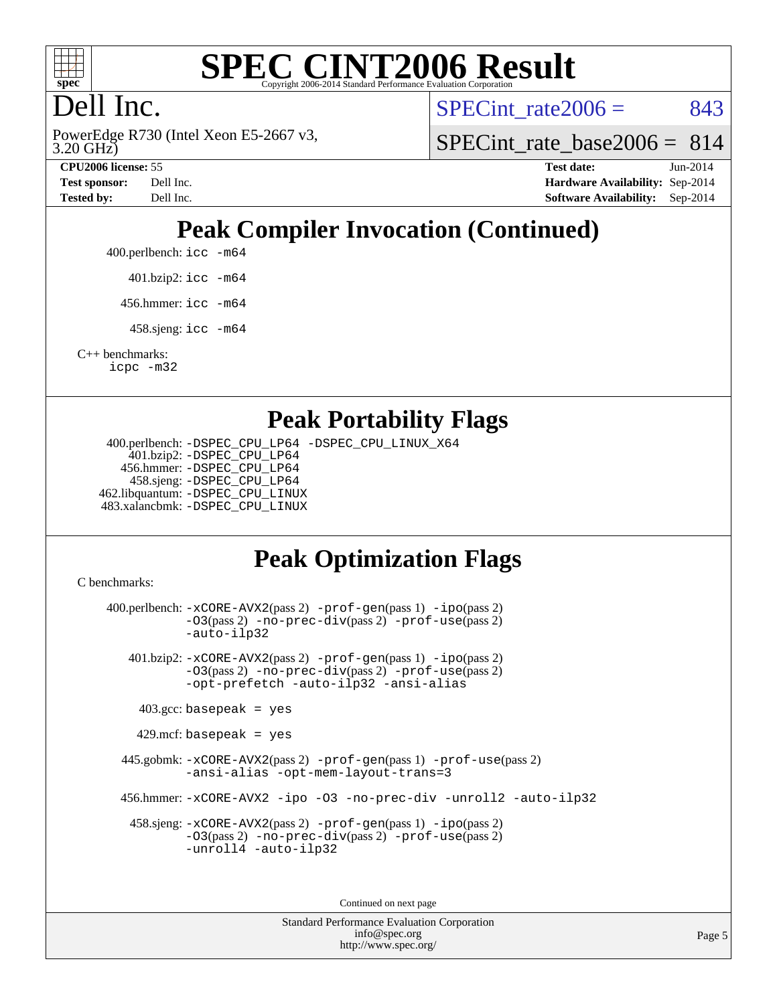

# **[SPEC CINT2006 Result](http://www.spec.org/auto/cpu2006/Docs/result-fields.html#SPECCINT2006Result)**

# Dell Inc.

3.20 GHz) PowerEdge R730 (Intel Xeon E5-2667 v3, SPECint rate $2006 = 843$ 

SPECint rate base2006 =  $814$ 

**[CPU2006 license:](http://www.spec.org/auto/cpu2006/Docs/result-fields.html#CPU2006license)** 55 **[Test date:](http://www.spec.org/auto/cpu2006/Docs/result-fields.html#Testdate)** Jun-2014 **[Test sponsor:](http://www.spec.org/auto/cpu2006/Docs/result-fields.html#Testsponsor)** Dell Inc. **[Hardware Availability:](http://www.spec.org/auto/cpu2006/Docs/result-fields.html#HardwareAvailability)** Sep-2014 **[Tested by:](http://www.spec.org/auto/cpu2006/Docs/result-fields.html#Testedby)** Dell Inc. **[Software Availability:](http://www.spec.org/auto/cpu2006/Docs/result-fields.html#SoftwareAvailability)** Sep-2014

# **[Peak Compiler Invocation \(Continued\)](http://www.spec.org/auto/cpu2006/Docs/result-fields.html#PeakCompilerInvocation)**

400.perlbench: [icc -m64](http://www.spec.org/cpu2006/results/res2014q3/cpu2006-20140909-31399.flags.html#user_peakCCLD400_perlbench_intel_icc_64bit_bda6cc9af1fdbb0edc3795bac97ada53)

401.bzip2: [icc -m64](http://www.spec.org/cpu2006/results/res2014q3/cpu2006-20140909-31399.flags.html#user_peakCCLD401_bzip2_intel_icc_64bit_bda6cc9af1fdbb0edc3795bac97ada53)

456.hmmer: [icc -m64](http://www.spec.org/cpu2006/results/res2014q3/cpu2006-20140909-31399.flags.html#user_peakCCLD456_hmmer_intel_icc_64bit_bda6cc9af1fdbb0edc3795bac97ada53)

458.sjeng: [icc -m64](http://www.spec.org/cpu2006/results/res2014q3/cpu2006-20140909-31399.flags.html#user_peakCCLD458_sjeng_intel_icc_64bit_bda6cc9af1fdbb0edc3795bac97ada53)

[C++ benchmarks:](http://www.spec.org/auto/cpu2006/Docs/result-fields.html#CXXbenchmarks) [icpc -m32](http://www.spec.org/cpu2006/results/res2014q3/cpu2006-20140909-31399.flags.html#user_CXXpeak_intel_icpc_4e5a5ef1a53fd332b3c49e69c3330699)

## **[Peak Portability Flags](http://www.spec.org/auto/cpu2006/Docs/result-fields.html#PeakPortabilityFlags)**

 400.perlbench: [-DSPEC\\_CPU\\_LP64](http://www.spec.org/cpu2006/results/res2014q3/cpu2006-20140909-31399.flags.html#b400.perlbench_peakCPORTABILITY_DSPEC_CPU_LP64) [-DSPEC\\_CPU\\_LINUX\\_X64](http://www.spec.org/cpu2006/results/res2014q3/cpu2006-20140909-31399.flags.html#b400.perlbench_peakCPORTABILITY_DSPEC_CPU_LINUX_X64) 401.bzip2: [-DSPEC\\_CPU\\_LP64](http://www.spec.org/cpu2006/results/res2014q3/cpu2006-20140909-31399.flags.html#suite_peakCPORTABILITY401_bzip2_DSPEC_CPU_LP64) 456.hmmer: [-DSPEC\\_CPU\\_LP64](http://www.spec.org/cpu2006/results/res2014q3/cpu2006-20140909-31399.flags.html#suite_peakCPORTABILITY456_hmmer_DSPEC_CPU_LP64) 458.sjeng: [-DSPEC\\_CPU\\_LP64](http://www.spec.org/cpu2006/results/res2014q3/cpu2006-20140909-31399.flags.html#suite_peakCPORTABILITY458_sjeng_DSPEC_CPU_LP64) 462.libquantum: [-DSPEC\\_CPU\\_LINUX](http://www.spec.org/cpu2006/results/res2014q3/cpu2006-20140909-31399.flags.html#b462.libquantum_peakCPORTABILITY_DSPEC_CPU_LINUX) 483.xalancbmk: [-DSPEC\\_CPU\\_LINUX](http://www.spec.org/cpu2006/results/res2014q3/cpu2006-20140909-31399.flags.html#b483.xalancbmk_peakCXXPORTABILITY_DSPEC_CPU_LINUX)

## **[Peak Optimization Flags](http://www.spec.org/auto/cpu2006/Docs/result-fields.html#PeakOptimizationFlags)**

[C benchmarks](http://www.spec.org/auto/cpu2006/Docs/result-fields.html#Cbenchmarks):

 400.perlbench: [-xCORE-AVX2](http://www.spec.org/cpu2006/results/res2014q3/cpu2006-20140909-31399.flags.html#user_peakPASS2_CFLAGSPASS2_LDCFLAGS400_perlbench_f-xAVX2_5f5fc0cbe2c9f62c816d3e45806c70d7)(pass 2) [-prof-gen](http://www.spec.org/cpu2006/results/res2014q3/cpu2006-20140909-31399.flags.html#user_peakPASS1_CFLAGSPASS1_LDCFLAGS400_perlbench_prof_gen_e43856698f6ca7b7e442dfd80e94a8fc)(pass 1) [-ipo](http://www.spec.org/cpu2006/results/res2014q3/cpu2006-20140909-31399.flags.html#user_peakPASS2_CFLAGSPASS2_LDCFLAGS400_perlbench_f-ipo)(pass 2) [-O3](http://www.spec.org/cpu2006/results/res2014q3/cpu2006-20140909-31399.flags.html#user_peakPASS2_CFLAGSPASS2_LDCFLAGS400_perlbench_f-O3)(pass 2) [-no-prec-div](http://www.spec.org/cpu2006/results/res2014q3/cpu2006-20140909-31399.flags.html#user_peakPASS2_CFLAGSPASS2_LDCFLAGS400_perlbench_f-no-prec-div)(pass 2) [-prof-use](http://www.spec.org/cpu2006/results/res2014q3/cpu2006-20140909-31399.flags.html#user_peakPASS2_CFLAGSPASS2_LDCFLAGS400_perlbench_prof_use_bccf7792157ff70d64e32fe3e1250b55)(pass 2) [-auto-ilp32](http://www.spec.org/cpu2006/results/res2014q3/cpu2006-20140909-31399.flags.html#user_peakCOPTIMIZE400_perlbench_f-auto-ilp32) 401.bzip2: [-xCORE-AVX2](http://www.spec.org/cpu2006/results/res2014q3/cpu2006-20140909-31399.flags.html#user_peakPASS2_CFLAGSPASS2_LDCFLAGS401_bzip2_f-xAVX2_5f5fc0cbe2c9f62c816d3e45806c70d7)(pass 2) [-prof-gen](http://www.spec.org/cpu2006/results/res2014q3/cpu2006-20140909-31399.flags.html#user_peakPASS1_CFLAGSPASS1_LDCFLAGS401_bzip2_prof_gen_e43856698f6ca7b7e442dfd80e94a8fc)(pass 1) [-ipo](http://www.spec.org/cpu2006/results/res2014q3/cpu2006-20140909-31399.flags.html#user_peakPASS2_CFLAGSPASS2_LDCFLAGS401_bzip2_f-ipo)(pass 2) [-O3](http://www.spec.org/cpu2006/results/res2014q3/cpu2006-20140909-31399.flags.html#user_peakPASS2_CFLAGSPASS2_LDCFLAGS401_bzip2_f-O3)(pass 2) [-no-prec-div](http://www.spec.org/cpu2006/results/res2014q3/cpu2006-20140909-31399.flags.html#user_peakPASS2_CFLAGSPASS2_LDCFLAGS401_bzip2_f-no-prec-div)(pass 2) [-prof-use](http://www.spec.org/cpu2006/results/res2014q3/cpu2006-20140909-31399.flags.html#user_peakPASS2_CFLAGSPASS2_LDCFLAGS401_bzip2_prof_use_bccf7792157ff70d64e32fe3e1250b55)(pass 2) [-opt-prefetch](http://www.spec.org/cpu2006/results/res2014q3/cpu2006-20140909-31399.flags.html#user_peakCOPTIMIZE401_bzip2_f-opt-prefetch) [-auto-ilp32](http://www.spec.org/cpu2006/results/res2014q3/cpu2006-20140909-31399.flags.html#user_peakCOPTIMIZE401_bzip2_f-auto-ilp32) [-ansi-alias](http://www.spec.org/cpu2006/results/res2014q3/cpu2006-20140909-31399.flags.html#user_peakCOPTIMIZE401_bzip2_f-ansi-alias)  $403.\text{gcc: basepeak}$  = yes  $429$ .mcf: basepeak = yes 445.gobmk: [-xCORE-AVX2](http://www.spec.org/cpu2006/results/res2014q3/cpu2006-20140909-31399.flags.html#user_peakPASS2_CFLAGSPASS2_LDCFLAGS445_gobmk_f-xAVX2_5f5fc0cbe2c9f62c816d3e45806c70d7)(pass 2) [-prof-gen](http://www.spec.org/cpu2006/results/res2014q3/cpu2006-20140909-31399.flags.html#user_peakPASS1_CFLAGSPASS1_LDCFLAGS445_gobmk_prof_gen_e43856698f6ca7b7e442dfd80e94a8fc)(pass 1) [-prof-use](http://www.spec.org/cpu2006/results/res2014q3/cpu2006-20140909-31399.flags.html#user_peakPASS2_CFLAGSPASS2_LDCFLAGS445_gobmk_prof_use_bccf7792157ff70d64e32fe3e1250b55)(pass 2) [-ansi-alias](http://www.spec.org/cpu2006/results/res2014q3/cpu2006-20140909-31399.flags.html#user_peakCOPTIMIZE445_gobmk_f-ansi-alias) [-opt-mem-layout-trans=3](http://www.spec.org/cpu2006/results/res2014q3/cpu2006-20140909-31399.flags.html#user_peakCOPTIMIZE445_gobmk_f-opt-mem-layout-trans_a7b82ad4bd7abf52556d4961a2ae94d5) 456.hmmer: [-xCORE-AVX2](http://www.spec.org/cpu2006/results/res2014q3/cpu2006-20140909-31399.flags.html#user_peakCOPTIMIZE456_hmmer_f-xAVX2_5f5fc0cbe2c9f62c816d3e45806c70d7) [-ipo](http://www.spec.org/cpu2006/results/res2014q3/cpu2006-20140909-31399.flags.html#user_peakCOPTIMIZE456_hmmer_f-ipo) [-O3](http://www.spec.org/cpu2006/results/res2014q3/cpu2006-20140909-31399.flags.html#user_peakCOPTIMIZE456_hmmer_f-O3) [-no-prec-div](http://www.spec.org/cpu2006/results/res2014q3/cpu2006-20140909-31399.flags.html#user_peakCOPTIMIZE456_hmmer_f-no-prec-div) [-unroll2](http://www.spec.org/cpu2006/results/res2014q3/cpu2006-20140909-31399.flags.html#user_peakCOPTIMIZE456_hmmer_f-unroll_784dae83bebfb236979b41d2422d7ec2) [-auto-ilp32](http://www.spec.org/cpu2006/results/res2014q3/cpu2006-20140909-31399.flags.html#user_peakCOPTIMIZE456_hmmer_f-auto-ilp32) 458.sjeng: [-xCORE-AVX2](http://www.spec.org/cpu2006/results/res2014q3/cpu2006-20140909-31399.flags.html#user_peakPASS2_CFLAGSPASS2_LDCFLAGS458_sjeng_f-xAVX2_5f5fc0cbe2c9f62c816d3e45806c70d7)(pass 2) [-prof-gen](http://www.spec.org/cpu2006/results/res2014q3/cpu2006-20140909-31399.flags.html#user_peakPASS1_CFLAGSPASS1_LDCFLAGS458_sjeng_prof_gen_e43856698f6ca7b7e442dfd80e94a8fc)(pass 1) [-ipo](http://www.spec.org/cpu2006/results/res2014q3/cpu2006-20140909-31399.flags.html#user_peakPASS2_CFLAGSPASS2_LDCFLAGS458_sjeng_f-ipo)(pass 2) [-O3](http://www.spec.org/cpu2006/results/res2014q3/cpu2006-20140909-31399.flags.html#user_peakPASS2_CFLAGSPASS2_LDCFLAGS458_sjeng_f-O3)(pass 2) [-no-prec-div](http://www.spec.org/cpu2006/results/res2014q3/cpu2006-20140909-31399.flags.html#user_peakPASS2_CFLAGSPASS2_LDCFLAGS458_sjeng_f-no-prec-div)(pass 2) [-prof-use](http://www.spec.org/cpu2006/results/res2014q3/cpu2006-20140909-31399.flags.html#user_peakPASS2_CFLAGSPASS2_LDCFLAGS458_sjeng_prof_use_bccf7792157ff70d64e32fe3e1250b55)(pass 2) [-unroll4](http://www.spec.org/cpu2006/results/res2014q3/cpu2006-20140909-31399.flags.html#user_peakCOPTIMIZE458_sjeng_f-unroll_4e5e4ed65b7fd20bdcd365bec371b81f) [-auto-ilp32](http://www.spec.org/cpu2006/results/res2014q3/cpu2006-20140909-31399.flags.html#user_peakCOPTIMIZE458_sjeng_f-auto-ilp32)

Continued on next page

Standard Performance Evaluation Corporation [info@spec.org](mailto:info@spec.org) <http://www.spec.org/>

Page 5